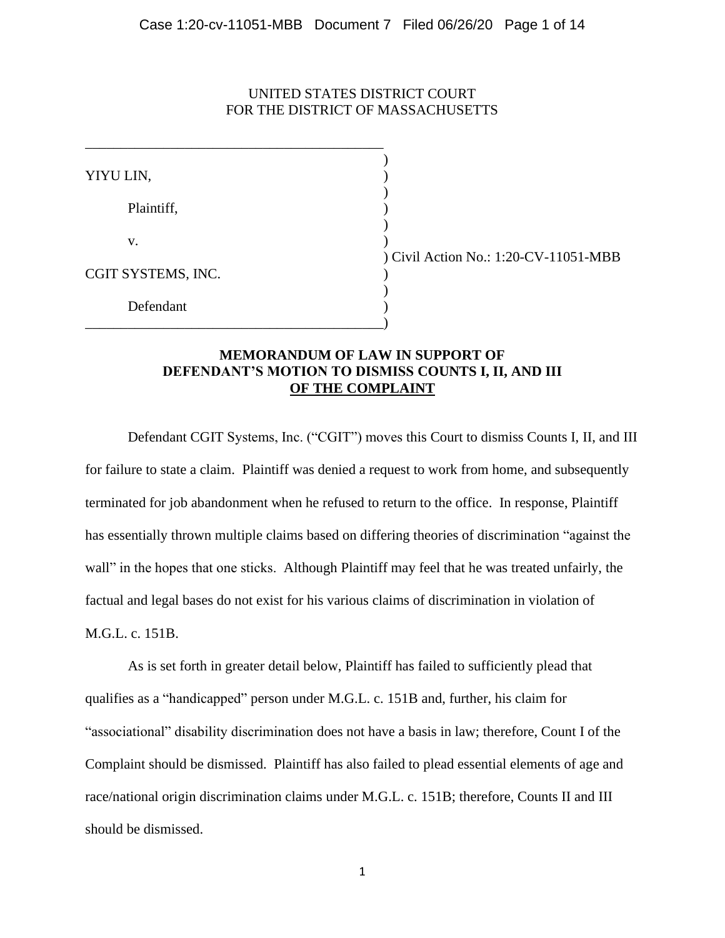### UNITED STATES DISTRICT COURT FOR THE DISTRICT OF MASSACHUSETTS

)

)

)

)

YIYU LIN, ) Plaintiff, )  $\mathbf v$ .  $\qquad \qquad \qquad$  ) CGIT SYSTEMS, INC. ) Defendant )

\_\_\_\_\_\_\_\_\_\_\_\_\_\_\_\_\_\_\_\_\_\_\_\_\_\_\_\_\_\_\_\_\_\_\_\_\_\_\_\_\_\_)

\_\_\_\_\_\_\_\_\_\_\_\_\_\_\_\_\_\_\_\_\_\_\_\_\_\_\_\_\_\_\_\_\_\_\_\_\_\_\_\_\_\_

) Civil Action No.: 1:20-CV-11051-MBB

## **MEMORANDUM OF LAW IN SUPPORT OF DEFENDANT'S MOTION TO DISMISS COUNTS I, II, AND III OF THE COMPLAINT**

Defendant CGIT Systems, Inc. ("CGIT") moves this Court to dismiss Counts I, II, and III for failure to state a claim. Plaintiff was denied a request to work from home, and subsequently terminated for job abandonment when he refused to return to the office. In response, Plaintiff has essentially thrown multiple claims based on differing theories of discrimination "against the wall" in the hopes that one sticks. Although Plaintiff may feel that he was treated unfairly, the factual and legal bases do not exist for his various claims of discrimination in violation of M.G.L. c. 151B.

As is set forth in greater detail below, Plaintiff has failed to sufficiently plead that qualifies as a "handicapped" person under M.G.L. c. 151B and, further, his claim for "associational" disability discrimination does not have a basis in law; therefore, Count I of the Complaint should be dismissed. Plaintiff has also failed to plead essential elements of age and race/national origin discrimination claims under M.G.L. c. 151B; therefore, Counts II and III should be dismissed.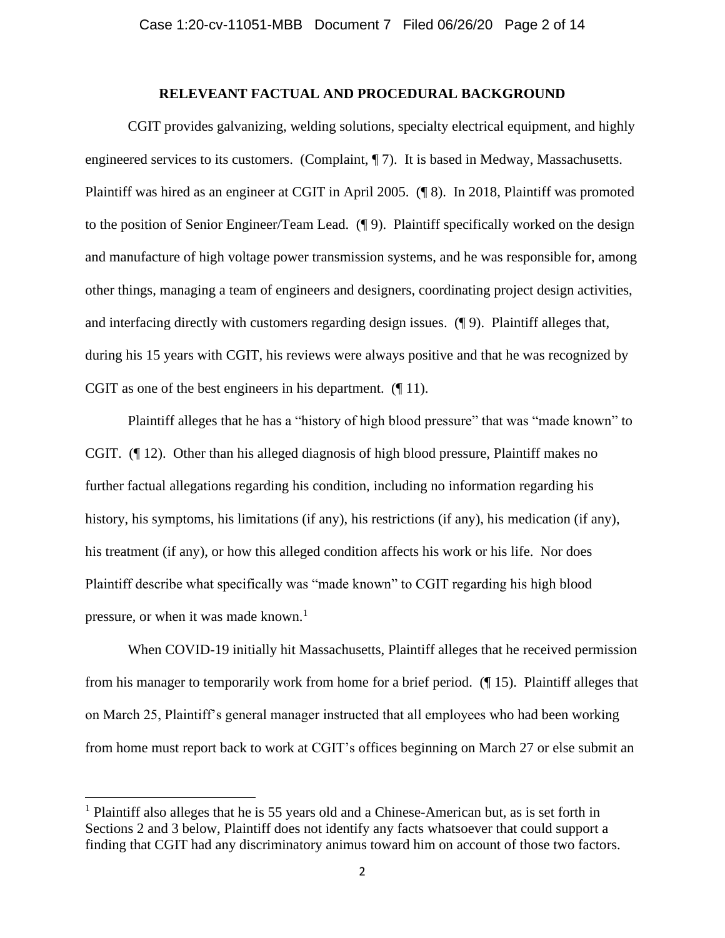### **RELEVEANT FACTUAL AND PROCEDURAL BACKGROUND**

CGIT provides galvanizing, welding solutions, specialty electrical equipment, and highly engineered services to its customers. (Complaint, ¶ 7). It is based in Medway, Massachusetts. Plaintiff was hired as an engineer at CGIT in April 2005. (¶ 8). In 2018, Plaintiff was promoted to the position of Senior Engineer/Team Lead. (¶ 9). Plaintiff specifically worked on the design and manufacture of high voltage power transmission systems, and he was responsible for, among other things, managing a team of engineers and designers, coordinating project design activities, and interfacing directly with customers regarding design issues. (¶ 9). Plaintiff alleges that, during his 15 years with CGIT, his reviews were always positive and that he was recognized by CGIT as one of the best engineers in his department. (¶ 11).

Plaintiff alleges that he has a "history of high blood pressure" that was "made known" to CGIT. (¶ 12). Other than his alleged diagnosis of high blood pressure, Plaintiff makes no further factual allegations regarding his condition, including no information regarding his history, his symptoms, his limitations (if any), his restrictions (if any), his medication (if any), his treatment (if any), or how this alleged condition affects his work or his life. Nor does Plaintiff describe what specifically was "made known" to CGIT regarding his high blood pressure, or when it was made known.<sup>1</sup>

When COVID-19 initially hit Massachusetts, Plaintiff alleges that he received permission from his manager to temporarily work from home for a brief period. (¶ 15). Plaintiff alleges that on March 25, Plaintiff's general manager instructed that all employees who had been working from home must report back to work at CGIT's offices beginning on March 27 or else submit an

<sup>&</sup>lt;sup>1</sup> Plaintiff also alleges that he is 55 years old and a Chinese-American but, as is set forth in Sections 2 and 3 below, Plaintiff does not identify any facts whatsoever that could support a finding that CGIT had any discriminatory animus toward him on account of those two factors.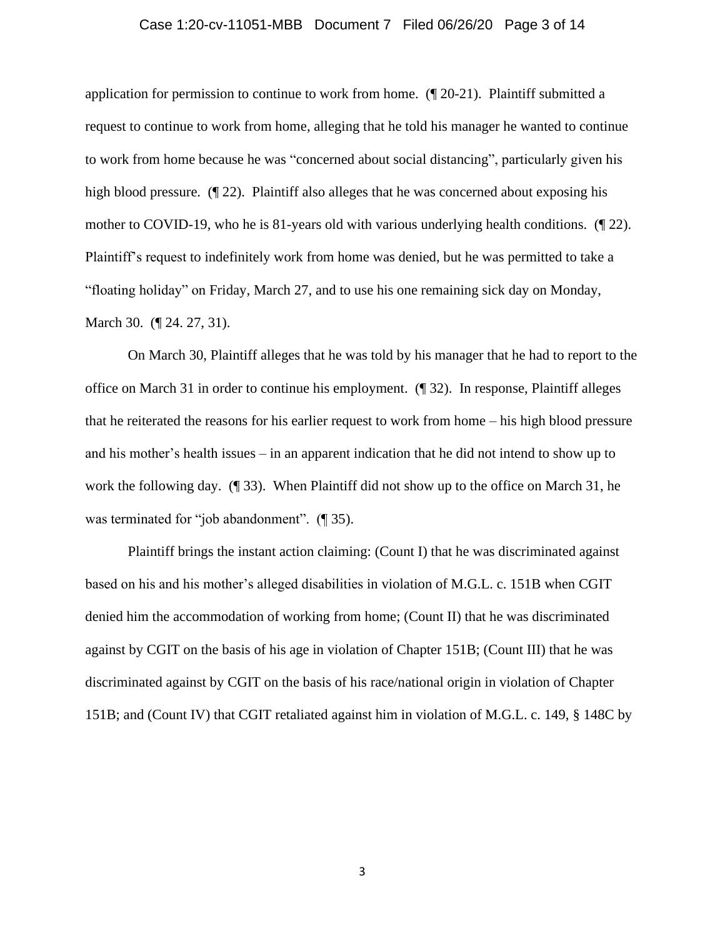### Case 1:20-cv-11051-MBB Document 7 Filed 06/26/20 Page 3 of 14

application for permission to continue to work from home. (¶ 20-21). Plaintiff submitted a request to continue to work from home, alleging that he told his manager he wanted to continue to work from home because he was "concerned about social distancing", particularly given his high blood pressure. (¶ 22). Plaintiff also alleges that he was concerned about exposing his mother to COVID-19, who he is 81-years old with various underlying health conditions. (¶ 22). Plaintiff's request to indefinitely work from home was denied, but he was permitted to take a "floating holiday" on Friday, March 27, and to use his one remaining sick day on Monday, March 30. (¶ 24. 27, 31).

On March 30, Plaintiff alleges that he was told by his manager that he had to report to the office on March 31 in order to continue his employment. (¶ 32). In response, Plaintiff alleges that he reiterated the reasons for his earlier request to work from home – his high blood pressure and his mother's health issues – in an apparent indication that he did not intend to show up to work the following day. (¶ 33). When Plaintiff did not show up to the office on March 31, he was terminated for "job abandonment". (¶ 35).

Plaintiff brings the instant action claiming: (Count I) that he was discriminated against based on his and his mother's alleged disabilities in violation of M.G.L. c. 151B when CGIT denied him the accommodation of working from home; (Count II) that he was discriminated against by CGIT on the basis of his age in violation of Chapter 151B; (Count III) that he was discriminated against by CGIT on the basis of his race/national origin in violation of Chapter 151B; and (Count IV) that CGIT retaliated against him in violation of M.G.L. c. 149, § 148C by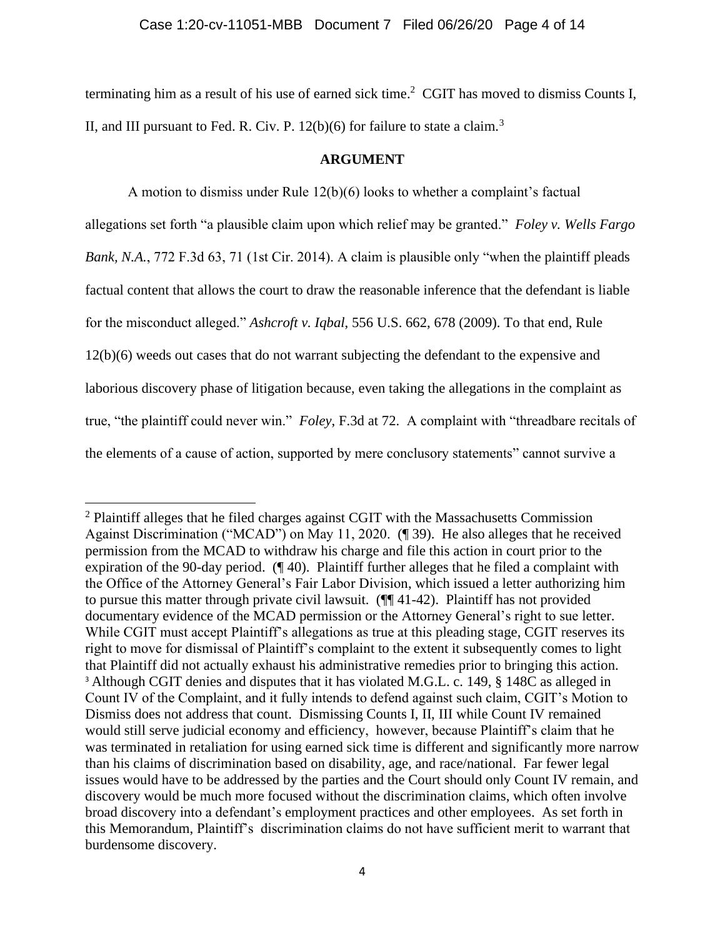terminating him as a result of his use of earned sick time.<sup>2</sup> CGIT has moved to dismiss Counts I, II, and III pursuant to Fed. R. Civ. P.  $12(b)(6)$  for failure to state a claim.<sup>3</sup>

### **ARGUMENT**

A motion to dismiss under Rule 12(b)(6) looks to whether a complaint's factual allegations set forth "a plausible claim upon which relief may be granted." *Foley v. Wells Fargo Bank, N.A.*, 772 F.3d 63, 71 (1st Cir. 2014). A claim is plausible only "when the plaintiff pleads factual content that allows the court to draw the reasonable inference that the defendant is liable for the misconduct alleged." *Ashcroft v. Iqbal*, 556 U.S. 662, 678 (2009). To that end, Rule 12(b)(6) weeds out cases that do not warrant subjecting the defendant to the expensive and laborious discovery phase of litigation because, even taking the allegations in the complaint as true, "the plaintiff could never win." *Foley*, F.3d at 72. A complaint with "threadbare recitals of the elements of a cause of action, supported by mere conclusory statements" cannot survive a

 $2$  Plaintiff alleges that he filed charges against CGIT with the Massachusetts Commission Against Discrimination ("MCAD") on May 11, 2020. (¶ 39). He also alleges that he received permission from the MCAD to withdraw his charge and file this action in court prior to the expiration of the 90-day period. (¶ 40). Plaintiff further alleges that he filed a complaint with the Office of the Attorney General's Fair Labor Division, which issued a letter authorizing him to pursue this matter through private civil lawsuit. (¶¶ 41-42). Plaintiff has not provided documentary evidence of the MCAD permission or the Attorney General's right to sue letter. While CGIT must accept Plaintiff's allegations as true at this pleading stage, CGIT reserves its right to move for dismissal of Plaintiff's complaint to the extent it subsequently comes to light that Plaintiff did not actually exhaust his administrative remedies prior to bringing this action. <sup>3</sup> Although CGIT denies and disputes that it has violated M.G.L. c. 149, § 148C as alleged in Count IV of the Complaint, and it fully intends to defend against such claim, CGIT's Motion to Dismiss does not address that count. Dismissing Counts I, II, III while Count IV remained would still serve judicial economy and efficiency, however, because Plaintiff's claim that he was terminated in retaliation for using earned sick time is different and significantly more narrow than his claims of discrimination based on disability, age, and race/national. Far fewer legal issues would have to be addressed by the parties and the Court should only Count IV remain, and discovery would be much more focused without the discrimination claims, which often involve broad discovery into a defendant's employment practices and other employees. As set forth in this Memorandum, Plaintiff's discrimination claims do not have sufficient merit to warrant that burdensome discovery.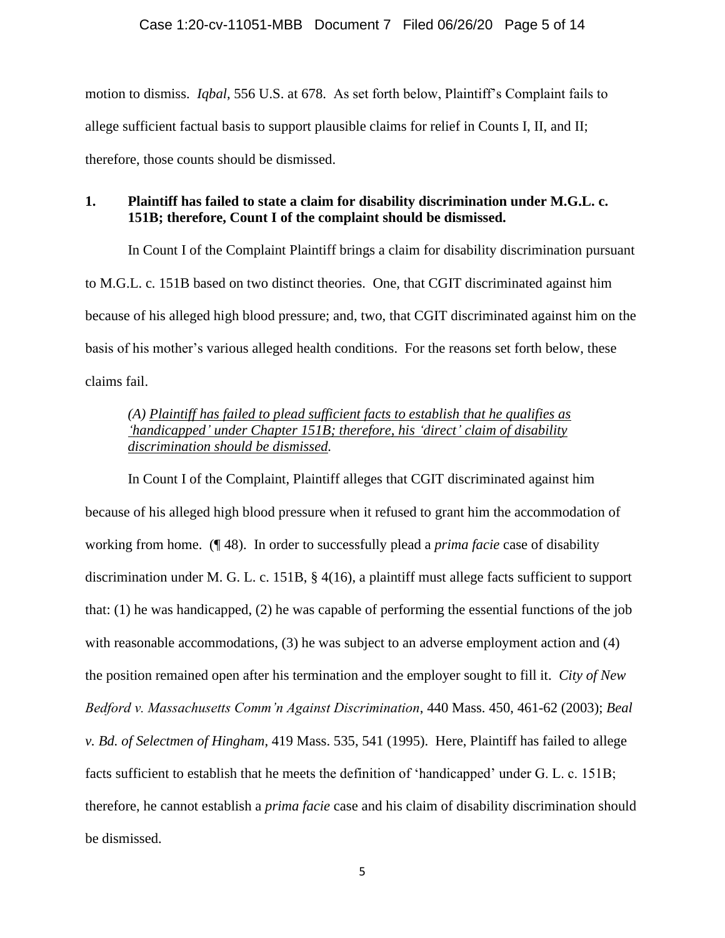motion to dismiss. *Iqbal*, 556 U.S. at 678. As set forth below, Plaintiff's Complaint fails to allege sufficient factual basis to support plausible claims for relief in Counts I, II, and II; therefore, those counts should be dismissed.

# **1. Plaintiff has failed to state a claim for disability discrimination under M.G.L. c. 151B; therefore, Count I of the complaint should be dismissed.**

In Count I of the Complaint Plaintiff brings a claim for disability discrimination pursuant to M.G.L. c. 151B based on two distinct theories. One, that CGIT discriminated against him because of his alleged high blood pressure; and, two, that CGIT discriminated against him on the basis of his mother's various alleged health conditions. For the reasons set forth below, these claims fail.

# *(A) Plaintiff has failed to plead sufficient facts to establish that he qualifies as 'handicapped' under Chapter 151B; therefore, his 'direct' claim of disability discrimination should be dismissed.*

In Count I of the Complaint, Plaintiff alleges that CGIT discriminated against him because of his alleged high blood pressure when it refused to grant him the accommodation of working from home. (¶ 48). In order to successfully plead a *prima facie* case of disability discrimination under M. G. L. c. 151B, § 4(16), a plaintiff must allege facts sufficient to support that: (1) he was handicapped, (2) he was capable of performing the essential functions of the job with reasonable accommodations, (3) he was subject to an adverse employment action and (4) the position remained open after his termination and the employer sought to fill it. *City of New Bedford v. Massachusetts Comm'n Against Discrimination*, 440 Mass. 450, 461-62 (2003); *Beal v. Bd. of Selectmen of Hingham*, 419 Mass. 535, 541 (1995). Here, Plaintiff has failed to allege facts sufficient to establish that he meets the definition of 'handicapped' under G. L. c. 151B; therefore, he cannot establish a *prima facie* case and his claim of disability discrimination should be dismissed.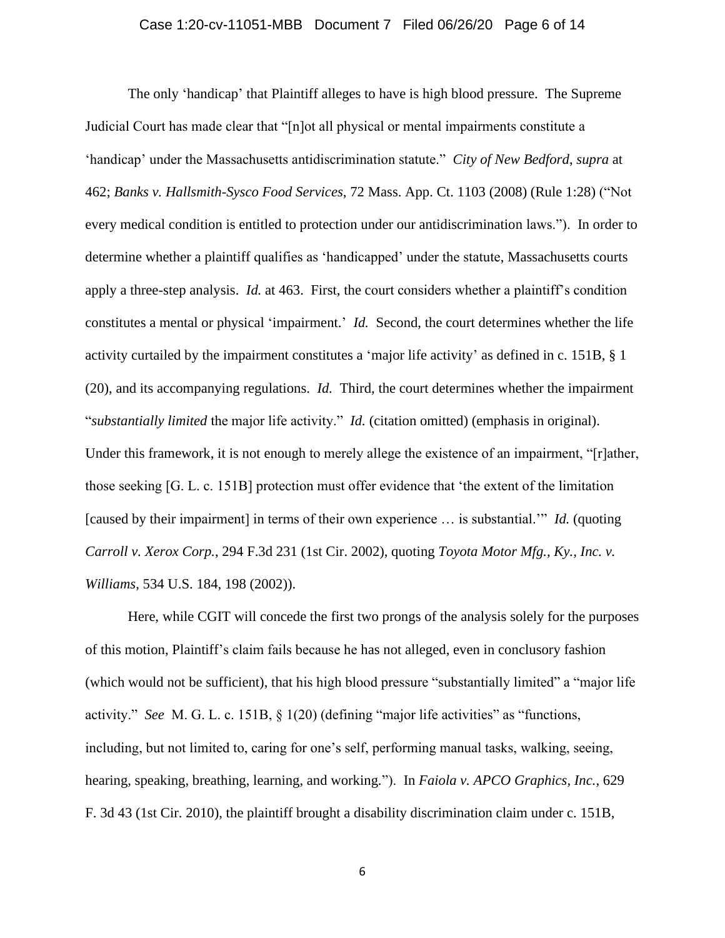### Case 1:20-cv-11051-MBB Document 7 Filed 06/26/20 Page 6 of 14

The only 'handicap' that Plaintiff alleges to have is high blood pressure. The Supreme Judicial Court has made clear that "[n]ot all physical or mental impairments constitute a 'handicap' under the Massachusetts antidiscrimination statute." *City of New Bedford*, *supra* at 462; *Banks v. Hallsmith-Sysco Food Services*, 72 Mass. App. Ct. 1103 (2008) (Rule 1:28) ("Not every medical condition is entitled to protection under our antidiscrimination laws."). In order to determine whether a plaintiff qualifies as 'handicapped' under the statute, Massachusetts courts apply a three-step analysis. *Id.* at 463. First, the court considers whether a plaintiff's condition constitutes a mental or physical 'impairment.' *Id.* Second, the court determines whether the life activity curtailed by the impairment constitutes a 'major life activity' as defined in c. 151B, § 1 (20), and its accompanying regulations. *Id.* Third, the court determines whether the impairment "*substantially limited* the major life activity." *Id.* (citation omitted) (emphasis in original). Under this framework, it is not enough to merely allege the existence of an impairment, "[r]ather, those seeking [G. L. c. 151B] protection must offer evidence that 'the extent of the limitation [caused by their impairment] in terms of their own experience … is substantial.'" *Id.* (quoting *Carroll v. Xerox Corp.*, 294 F.3d 231 (1st Cir. 2002), quoting *Toyota Motor Mfg., Ky., Inc. v. Williams*, 534 U.S. 184, 198 (2002)).

Here, while CGIT will concede the first two prongs of the analysis solely for the purposes of this motion, Plaintiff's claim fails because he has not alleged, even in conclusory fashion (which would not be sufficient), that his high blood pressure "substantially limited" a "major life activity." *See* M. G. L. c. 151B, § 1(20) (defining "major life activities" as "functions, including, but not limited to, caring for one's self, performing manual tasks, walking, seeing, hearing, speaking, breathing, learning, and working*.*"). In *Faiola v. APCO Graphics, Inc.*, 629 F. 3d 43 (1st Cir. 2010), the plaintiff brought a disability discrimination claim under c. 151B,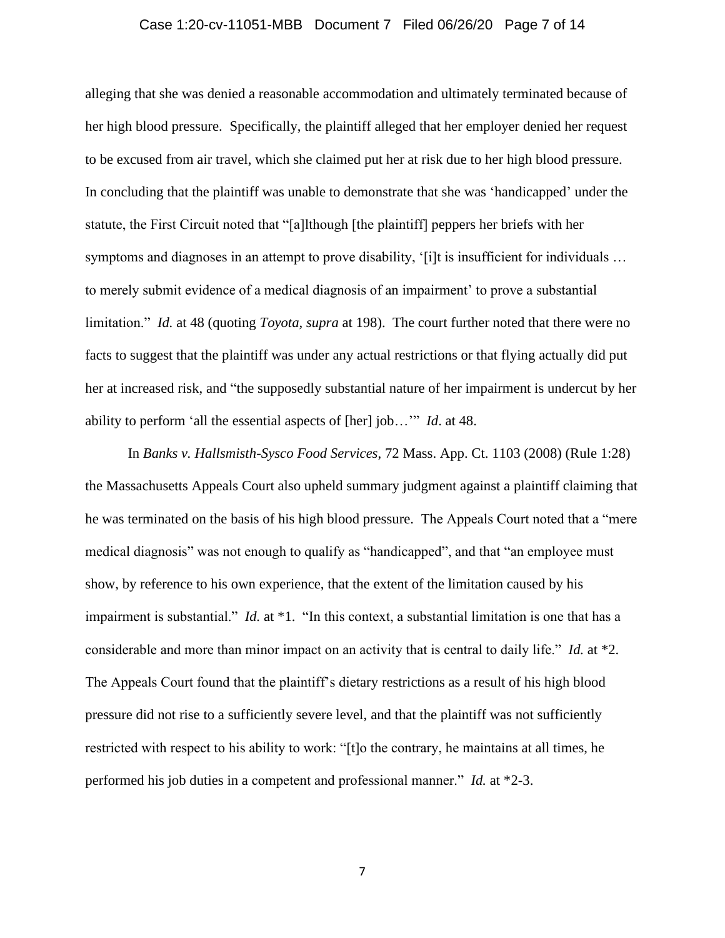### Case 1:20-cv-11051-MBB Document 7 Filed 06/26/20 Page 7 of 14

alleging that she was denied a reasonable accommodation and ultimately terminated because of her high blood pressure. Specifically, the plaintiff alleged that her employer denied her request to be excused from air travel, which she claimed put her at risk due to her high blood pressure. In concluding that the plaintiff was unable to demonstrate that she was 'handicapped' under the statute, the First Circuit noted that "[a]lthough [the plaintiff] peppers her briefs with her symptoms and diagnoses in an attempt to prove disability, '[i]t is insufficient for individuals ... to merely submit evidence of a medical diagnosis of an impairment' to prove a substantial limitation." *Id.* at 48 (quoting *[Toyota, supra](http://www.westlaw.com/Link/Document/FullText?findType=Y&serNum=2002042120&pubNum=708&originatingDoc=I4a960aeb048a11e088699d6fd571daba&refType=RP&originationContext=document&vr=3.0&rs=cblt1.0&transitionType=DocumentItem&contextData=(sc.UserEnteredCitation))* at 198). The court further noted that there were no facts to suggest that the plaintiff was under any actual restrictions or that flying actually did put her at increased risk, and "the supposedly substantial nature of her impairment is undercut by her ability to perform 'all the essential aspects of [her] job…'" *Id*. at 48.

In *Banks v. Hallsmisth-Sysco Food Services*, 72 Mass. App. Ct. 1103 (2008) (Rule 1:28) the Massachusetts Appeals Court also upheld summary judgment against a plaintiff claiming that he was terminated on the basis of his high blood pressure. The Appeals Court noted that a "mere medical diagnosis" was not enough to qualify as "handicapped", and that "an employee must show, by reference to his own experience, that the extent of the limitation caused by his impairment is substantial." *Id.* at \*1. "In this context, a substantial limitation is one that has a considerable and more than minor impact on an activity that is central to daily life." *Id.* at \*2. The Appeals Court found that the plaintiff's dietary restrictions as a result of his high blood pressure did not rise to a sufficiently severe level, and that the plaintiff was not sufficiently restricted with respect to his ability to work: "[t]o the contrary, he maintains at all times, he performed his job duties in a competent and professional manner." *Id.* at \*2-3.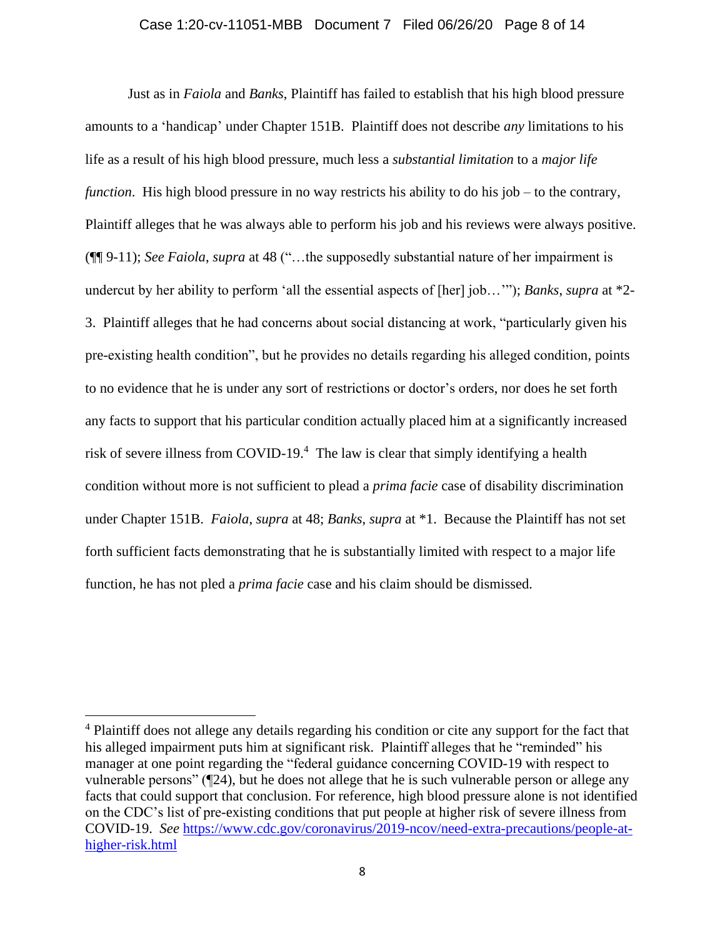#### Case 1:20-cv-11051-MBB Document 7 Filed 06/26/20 Page 8 of 14

Just as in *Faiola* and *Banks*, Plaintiff has failed to establish that his high blood pressure amounts to a 'handicap' under Chapter 151B. Plaintiff does not describe *any* limitations to his life as a result of his high blood pressure, much less a *substantial limitation* to a *major life function*. His high blood pressure in no way restricts his ability to do his job – to the contrary, Plaintiff alleges that he was always able to perform his job and his reviews were always positive. (¶¶ 9-11); *See Faiola*, *supra* at 48 ("…the supposedly substantial nature of her impairment is undercut by her ability to perform 'all the essential aspects of [her] job…'"); *Banks*, *supra* at \*2- 3. Plaintiff alleges that he had concerns about social distancing at work, "particularly given his pre-existing health condition", but he provides no details regarding his alleged condition, points to no evidence that he is under any sort of restrictions or doctor's orders, nor does he set forth any facts to support that his particular condition actually placed him at a significantly increased risk of severe illness from COVID-19.<sup>4</sup> The law is clear that simply identifying a health condition without more is not sufficient to plead a *prima facie* case of disability discrimination under Chapter 151B. *Faiola*, *supra* at 48; *Banks*, *supra* at \*1. Because the Plaintiff has not set forth sufficient facts demonstrating that he is substantially limited with respect to a major life function, he has not pled a *prima facie* case and his claim should be dismissed.

<sup>&</sup>lt;sup>4</sup> Plaintiff does not allege any details regarding his condition or cite any support for the fact that his alleged impairment puts him at significant risk. Plaintiff alleges that he "reminded" his manager at one point regarding the "federal guidance concerning COVID-19 with respect to vulnerable persons" (¶24), but he does not allege that he is such vulnerable person or allege any facts that could support that conclusion. For reference, high blood pressure alone is not identified on the CDC's list of pre-existing conditions that put people at higher risk of severe illness from COVID-19. *See* [https://www.cdc.gov/coronavirus/2019-ncov/need-extra-precautions/people-at](https://www.cdc.gov/coronavirus/2019-ncov/need-extra-precautions/people-at-higher-risk.html)[higher-risk.html](https://www.cdc.gov/coronavirus/2019-ncov/need-extra-precautions/people-at-higher-risk.html)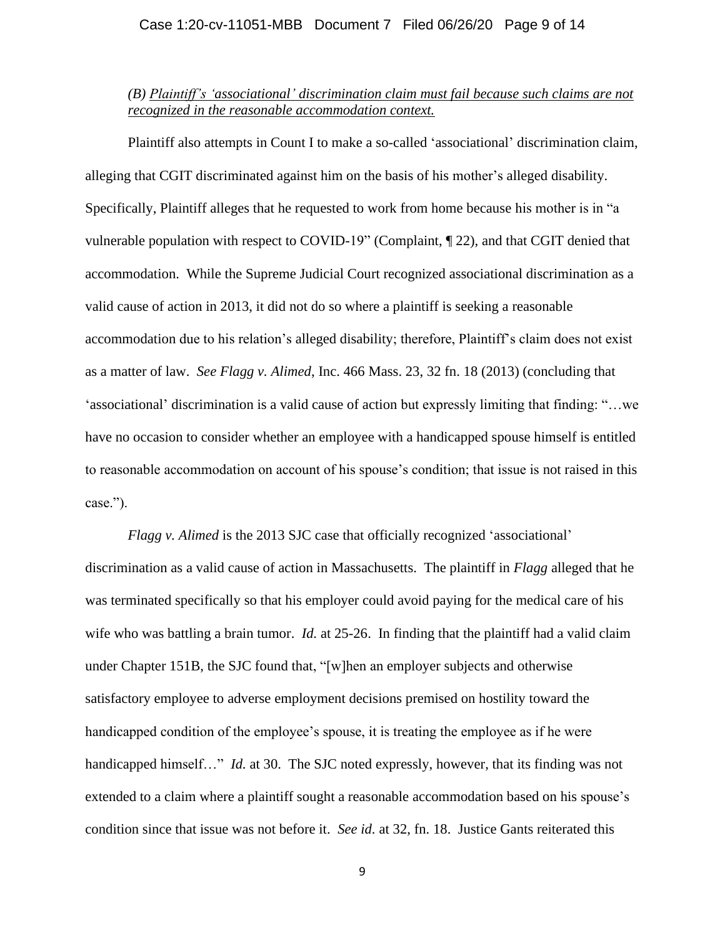### Case 1:20-cv-11051-MBB Document 7 Filed 06/26/20 Page 9 of 14

### *(B) Plaintiff's 'associational' discrimination claim must fail because such claims are not recognized in the reasonable accommodation context.*

Plaintiff also attempts in Count I to make a so-called 'associational' discrimination claim, alleging that CGIT discriminated against him on the basis of his mother's alleged disability. Specifically, Plaintiff alleges that he requested to work from home because his mother is in "a vulnerable population with respect to COVID-19" (Complaint, ¶ 22), and that CGIT denied that accommodation. While the Supreme Judicial Court recognized associational discrimination as a valid cause of action in 2013, it did not do so where a plaintiff is seeking a reasonable accommodation due to his relation's alleged disability; therefore, Plaintiff's claim does not exist as a matter of law. *See Flagg v. Alimed*, Inc. 466 Mass. 23, 32 fn. 18 (2013) (concluding that 'associational' discrimination is a valid cause of action but expressly limiting that finding: "…we have no occasion to consider whether an employee with a handicapped spouse himself is entitled to reasonable accommodation on account of his spouse's condition; that issue is not raised in this case.").

*Flagg v. Alimed* is the 2013 SJC case that officially recognized 'associational' discrimination as a valid cause of action in Massachusetts. The plaintiff in *Flagg* alleged that he was terminated specifically so that his employer could avoid paying for the medical care of his wife who was battling a brain tumor. *Id.* at 25-26. In finding that the plaintiff had a valid claim under Chapter 151B, the SJC found that, "[w]hen an employer subjects and otherwise satisfactory employee to adverse employment decisions premised on hostility toward the handicapped condition of the employee's spouse, it is treating the employee as if he were handicapped himself..." *Id.* at 30. The SJC noted expressly, however, that its finding was not extended to a claim where a plaintiff sought a reasonable accommodation based on his spouse's condition since that issue was not before it. *See id.* at 32, fn. 18. Justice Gants reiterated this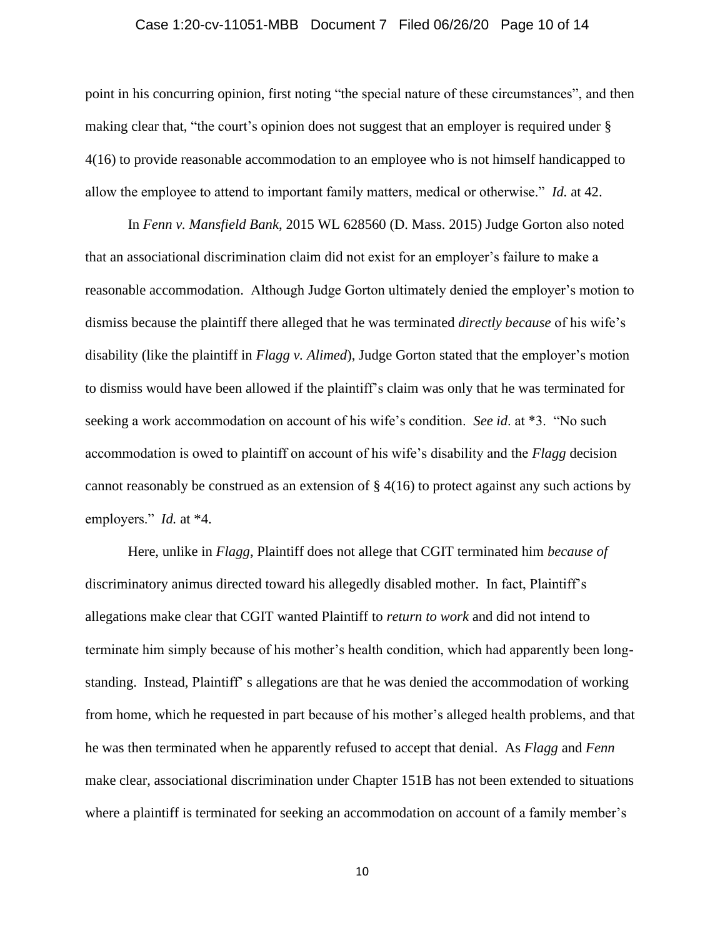### Case 1:20-cv-11051-MBB Document 7 Filed 06/26/20 Page 10 of 14

point in his concurring opinion, first noting "the special nature of these circumstances", and then making clear that, "the court's opinion does not suggest that an employer is required under § 4(16) to provide reasonable accommodation to an employee who is not himself handicapped to allow the employee to attend to important family matters, medical or otherwise." *Id.* at 42.

In *Fenn v. Mansfield Bank*, 2015 WL 628560 (D. Mass. 2015) Judge Gorton also noted that an associational discrimination claim did not exist for an employer's failure to make a reasonable accommodation. Although Judge Gorton ultimately denied the employer's motion to dismiss because the plaintiff there alleged that he was terminated *directly because* of his wife's disability (like the plaintiff in *Flagg v. Alimed*), Judge Gorton stated that the employer's motion to dismiss would have been allowed if the plaintiff's claim was only that he was terminated for seeking a work accommodation on account of his wife's condition. *See id*. at \*3. "No such accommodation is owed to plaintiff on account of his wife's disability and the *Flagg* decision cannot reasonably be construed as an extension of § 4(16) to protect against any such actions by employers." *Id.* at \*4.

Here, unlike in *Flagg*, Plaintiff does not allege that CGIT terminated him *because of* discriminatory animus directed toward his allegedly disabled mother. In fact, Plaintiff's allegations make clear that CGIT wanted Plaintiff to *return to work* and did not intend to terminate him simply because of his mother's health condition, which had apparently been longstanding. Instead, Plaintiff' s allegations are that he was denied the accommodation of working from home, which he requested in part because of his mother's alleged health problems, and that he was then terminated when he apparently refused to accept that denial. As *Flagg* and *Fenn* make clear, associational discrimination under Chapter 151B has not been extended to situations where a plaintiff is terminated for seeking an accommodation on account of a family member's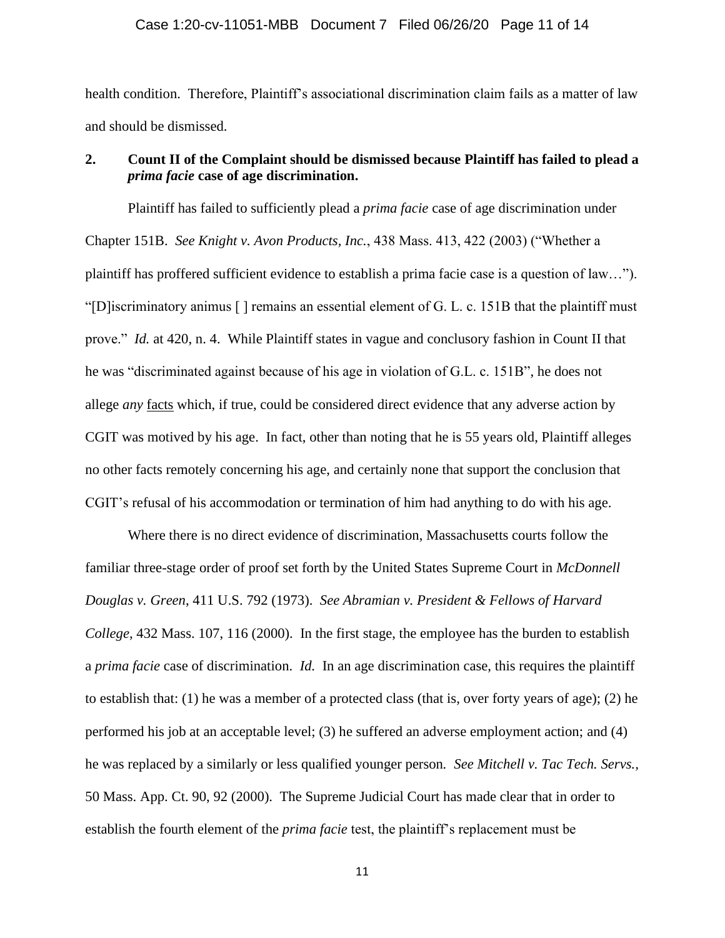#### Case 1:20-cv-11051-MBB Document 7 Filed 06/26/20 Page 11 of 14

health condition. Therefore, Plaintiff's associational discrimination claim fails as a matter of law and should be dismissed.

### **2. Count II of the Complaint should be dismissed because Plaintiff has failed to plead a**  *prima facie* **case of age discrimination.**

Plaintiff has failed to sufficiently plead a *prima facie* case of age discrimination under Chapter 151B. *See Knight v. Avon Products, Inc.*, 438 Mass. 413, 422 (2003) ("Whether a plaintiff has proffered sufficient evidence to establish a prima facie case is a question of law…"). "[D]iscriminatory animus [ ] remains an essential element of G. L. c. 151B that the plaintiff must prove." *Id.* at 420, n. 4. While Plaintiff states in vague and conclusory fashion in Count II that he was "discriminated against because of his age in violation of G.L. c. 151B", he does not allege *any* facts which, if true, could be considered direct evidence that any adverse action by CGIT was motived by his age. In fact, other than noting that he is 55 years old, Plaintiff alleges no other facts remotely concerning his age, and certainly none that support the conclusion that CGIT's refusal of his accommodation or termination of him had anything to do with his age.

Where there is no direct evidence of discrimination, Massachusetts courts follow the familiar three-stage order of proof set forth by the United States Supreme Court in *McDonnell Douglas v. Green*, 411 U.S. 792 (1973). *See Abramian v. President & Fellows of Harvard College*, 432 Mass. 107, 116 (2000). In the first stage, the employee has the burden to establish a *prima facie* case of discrimination. *Id.* In an age discrimination case, this requires the plaintiff to establish that: (1) he was a member of a protected class (that is, over forty years of age); (2) he performed his job at an acceptable level; (3) he suffered an adverse employment action; and (4) he was replaced by a similarly or less qualified younger person*. See Mitchell v. Tac Tech. Servs.,*  50 Mass. App. Ct. 90, 92 (2000). The Supreme Judicial Court has made clear that in order to establish the fourth element of the *prima facie* test, the plaintiff's replacement must be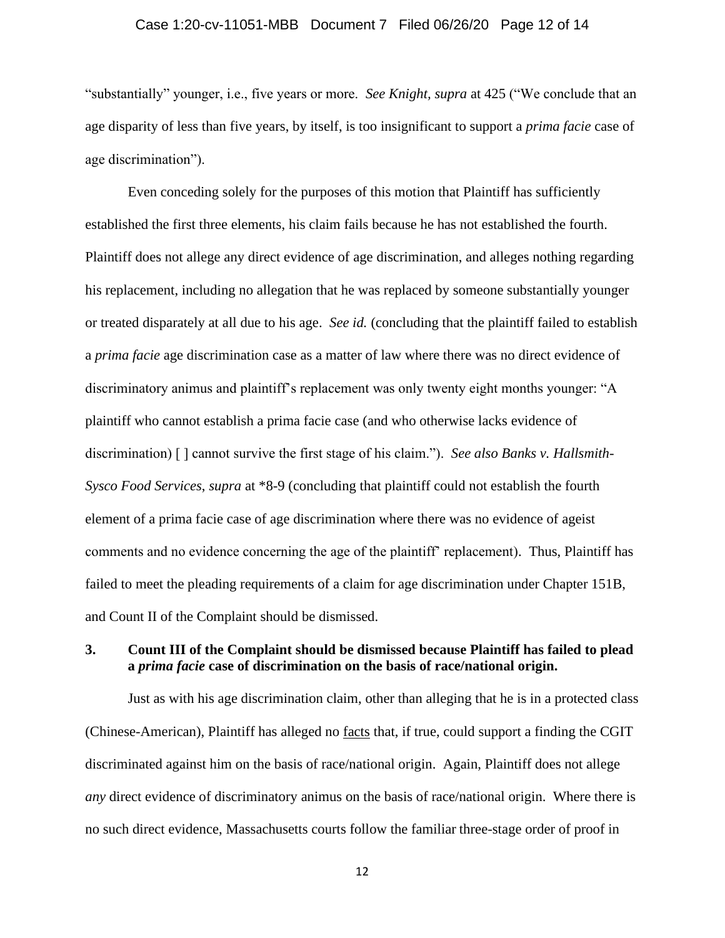### Case 1:20-cv-11051-MBB Document 7 Filed 06/26/20 Page 12 of 14

"substantially" younger, i.e., five years or more. *See Knight, supra* at 425 ("We conclude that an age disparity of less than five years, by itself, is too insignificant to support a *prima facie* case of age discrimination").

Even conceding solely for the purposes of this motion that Plaintiff has sufficiently established the first three elements, his claim fails because he has not established the fourth. Plaintiff does not allege any direct evidence of age discrimination, and alleges nothing regarding his replacement, including no allegation that he was replaced by someone substantially younger or treated disparately at all due to his age. *See id.* (concluding that the plaintiff failed to establish a *prima facie* age discrimination case as a matter of law where there was no direct evidence of discriminatory animus and plaintiff's replacement was only twenty eight months younger: "A plaintiff who cannot establish a prima facie case (and who otherwise lacks evidence of discrimination) [ ] cannot survive the first stage of his claim."). *See also Banks v. Hallsmith-Sysco Food Services*, *supra* at \*8-9 (concluding that plaintiff could not establish the fourth element of a prima facie case of age discrimination where there was no evidence of ageist comments and no evidence concerning the age of the plaintiff' replacement). Thus, Plaintiff has failed to meet the pleading requirements of a claim for age discrimination under Chapter 151B, and Count II of the Complaint should be dismissed.

### **3. Count III of the Complaint should be dismissed because Plaintiff has failed to plead a** *prima facie* **case of discrimination on the basis of race/national origin.**

Just as with his age discrimination claim, other than alleging that he is in a protected class (Chinese-American), Plaintiff has alleged no facts that, if true, could support a finding the CGIT discriminated against him on the basis of race/national origin. Again, Plaintiff does not allege *any* direct evidence of discriminatory animus on the basis of race/national origin. Where there is no such direct evidence, Massachusetts courts follow the familiar three-stage order of proof in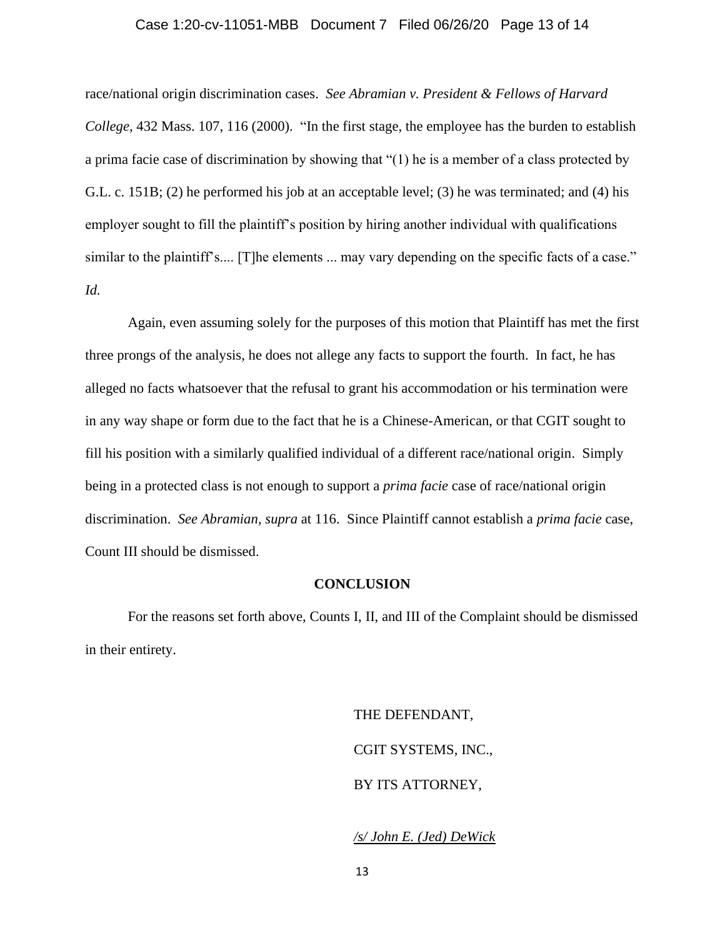### Case 1:20-cv-11051-MBB Document 7 Filed 06/26/20 Page 13 of 14

race/national origin discrimination cases. *See Abramian v. President & Fellows of Harvard College*, 432 Mass. 107, 116 (2000). "In the first stage, the employee has the burden to establish a prima facie case of discrimination by showing that "(1) he is a member of a class protected by G.L. c. 151B; (2) he performed his job at an acceptable level; (3) he was terminated; and (4) his employer sought to fill the plaintiff's position by hiring another individual with qualifications similar to the plaintiff's.... [T]he elements ... may vary depending on the specific facts of a case." *Id.*

Again, even assuming solely for the purposes of this motion that Plaintiff has met the first three prongs of the analysis, he does not allege any facts to support the fourth. In fact, he has alleged no facts whatsoever that the refusal to grant his accommodation or his termination were in any way shape or form due to the fact that he is a Chinese-American, or that CGIT sought to fill his position with a similarly qualified individual of a different race/national origin. Simply being in a protected class is not enough to support a *prima facie* case of race/national origin discrimination. *See Abramian, supra* at 116. Since Plaintiff cannot establish a *prima facie* case, Count III should be dismissed.

#### **CONCLUSION**

For the reasons set forth above, Counts I, II, and III of the Complaint should be dismissed in their entirety.

> THE DEFENDANT, CGIT SYSTEMS, INC., BY ITS ATTORNEY,

### */s/ John E. (Jed) DeWick*